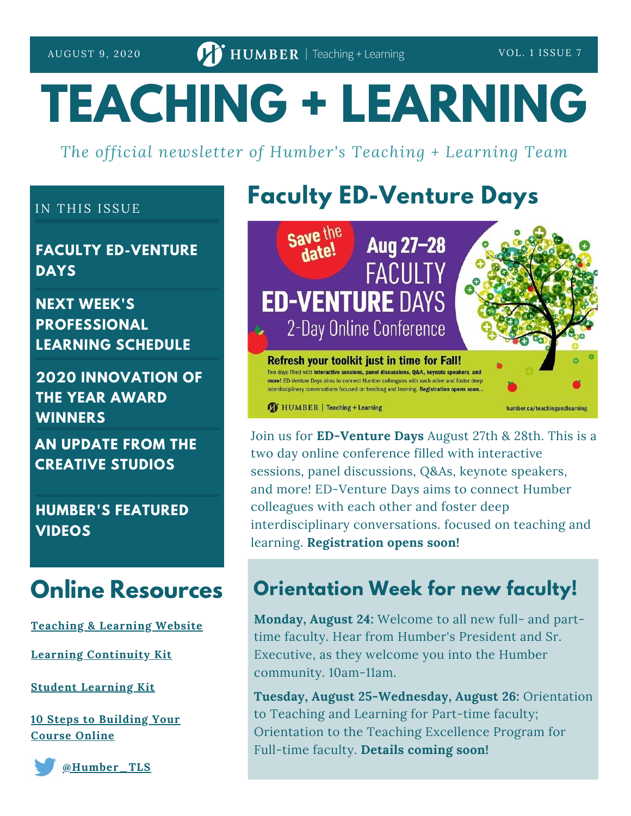# **TEACHING + LEARNING**

*The official newsletter of Humber's Teaching + Learning Team*

#### IN THIS ISSUE

**FACULTY ED-VENTURE DAYS**

**NEXT WEEK'S PROFESSIONAL LEARNING SCHEDULE**

**2020 INNOVATION OF THE YEAR AWARD WINNERS**

**AN UPDATE FROM THE CREATIVE STUDIOS**

**HUMBER'S FEATURED VIDEOS**

#### **Online Resources**

**[Teaching](https://humber.ca/teachingandlearning/) & Learning Website**

**Learning [Continuity](https://sites.google.com/view/learningcontinuitykit/home) Kit**

**Student [Learning](https://sites.google.com/view/studentlearningkit) Kit**

**10 Steps to [Building](https://view.genial.ly/5e8ce13874dd8c0e246ef382) Your Course Online**



**[@Humber\\_TLS](https://twitter.com/Humber_TLS)**

## **Faculty ED-Venture Days**



Join us for **ED-Venture Days** August 27th & 28th. This is a two day online conference filled with interactive sessions, panel discussions, Q&As, keynote speakers, and more! ED-Venture Days aims to connect Humber colleagues with each other and foster deep interdisciplinary conversations. focused on teaching and learning. **Registration opens soon!**

#### **Orientation Week for new faculty!**

**Monday, August 24:** Welcome to all new full- and parttime faculty. Hear from Humber's President and Sr. Executive, as they welcome you into the Humber community. 10am-11am.

**Tuesday, August 25-Wednesday, August 26:** Orientation to Teaching and Learning for Part-time faculty; Orientation to the Teaching Excellence Program for Full-time faculty. **Details coming soon!**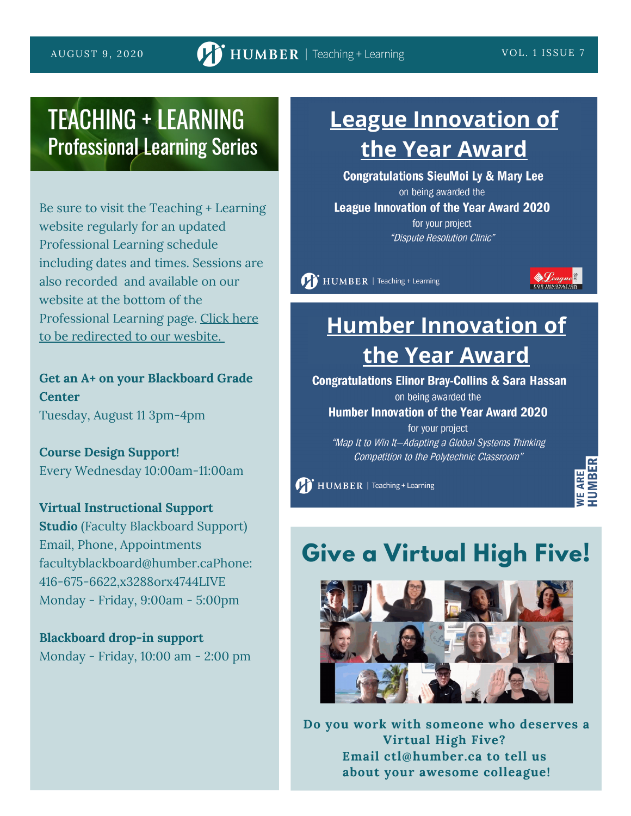## **TEACHING + LEARNING Professional Learning Series**

Be sure to visit the Teaching + Learning website regularly for an updated Professional Learning schedule including dates and times. Sessions are also recorded and available on our website at the bottom of the [Professional](https://sites.google.com/view/learningcontinuitykit/home/attend-virtual-training) Learning page. Click here to be redirected to our wesbite[.](https://sites.google.com/view/learningcontinuitykit/home/attend-virtual-training)

**Get an A+ on your Blackboard Grade Center**

Tuesday, August 11 3pm-4pm

**Course Design Support!** Every Wednesday 10:00am-11:00am

#### **Virtual Instructional Support**

**Studio** (Faculty Blackboard Support) Email, Phone, Appointments facultyblackboard@humber.caPhone: 416-675-6622,x3288orx4744LIVE Monday - Friday, 9:00am - 5:00pm

**Blackboard drop-in support** Monday - Friday, 10:00 am - 2:00 pm

## **[League Innovation of](https://humber.ca/staff/announcement/2020-league-innovation-year-winner) the Year Award**

**Congratulations SieuMoi Ly & Mary Lee** on being awarded the **League Innovation of the Year Award 2020** for your project "Dispute Resolution Clinic"

HUMBER | Teaching + Learning



## **[Humber Innovation of](https://humber.ca/staff/announcement/2020-humber-innovation-year-winner) the Year Award**

**Congratulations Elinor Bray-Collins & Sara Hassan** 

on being awarded the

**Humber Innovation of the Year Award 2020** 

for your project "Map It to Win It-Adapting a Global Systems Thinking Competition to the Polytechnic Classroom"

HUMBER | Teaching + Learning

# **Give a Virtual High Five!**



**Do you work with someone who deserves a Virtual High Five? Email ctl@humber.ca to tell us about your awesome colleague!**